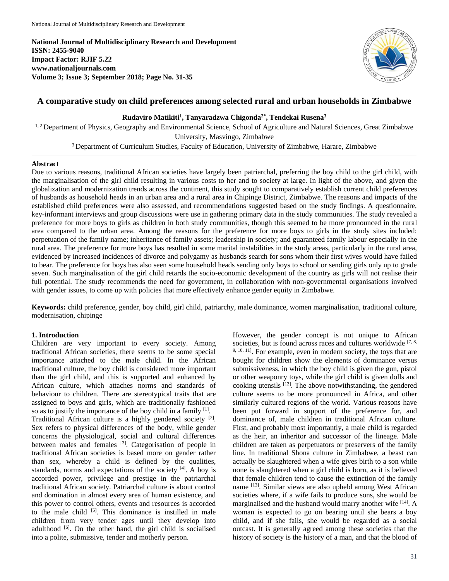**National Journal of Multidisciplinary Research and Development ISSN: 2455-9040 Impact Factor: RJIF 5.22 www.nationaljournals.com Volume 3; Issue 3; September 2018; Page No. 31-35**



# **A comparative study on child preferences among selected rural and urban households in Zimbabwe**

## **Rudaviro Matikiti<sup>1</sup> , Tanyaradzwa Chigonda2\* , Tendekai Rusena<sup>3</sup>**

<sup>1, 2</sup> Department of Physics, Geography and Environmental Science, School of Agriculture and Natural Sciences, Great Zimbabwe University, Masvingo, Zimbabwe

<sup>3</sup> Department of Curriculum Studies, Faculty of Education, University of Zimbabwe, Harare, Zimbabwe

#### **Abstract**

Due to various reasons, traditional African societies have largely been patriarchal, preferring the boy child to the girl child, with the marginalisation of the girl child resulting in various costs to her and to society at large. In light of the above, and given the globalization and modernization trends across the continent, this study sought to comparatively establish current child preferences of husbands as household heads in an urban area and a rural area in Chipinge District, Zimbabwe. The reasons and impacts of the established child preferences were also assessed, and recommendations suggested based on the study findings. A questionnaire, key-informant interviews and group discussions were use in gathering primary data in the study communities. The study revealed a preference for more boys to girls as children in both study communities, though this seemed to be more pronounced in the rural area compared to the urban area. Among the reasons for the preference for more boys to girls in the study sites included: perpetuation of the family name; inheritance of family assets; leadership in society; and guaranteed family labour especially in the rural area. The preference for more boys has resulted in some marital instabilities in the study areas, particularly in the rural area, evidenced by increased incidences of divorce and polygamy as husbands search for sons whom their first wives would have failed to bear. The preference for boys has also seen some household heads sending only boys to school or sending girls only up to grade seven. Such marginalisation of the girl child retards the socio-economic development of the country as girls will not realise their full potential. The study recommends the need for government, in collaboration with non-governmental organisations involved with gender issues, to come up with policies that more effectively enhance gender equity in Zimbabwe.

**Keywords:** child preference, gender, boy child, girl child, patriarchy, male dominance, women marginalisation, traditional culture, modernisation, chipinge

### **1. Introduction**

Children are very important to every society. Among traditional African societies, there seems to be some special importance attached to the male child. In the African traditional culture, the boy child is considered more important than the girl child, and this is supported and enhanced by African culture, which attaches norms and standards of behaviour to children. There are stereotypical traits that are assigned to boys and girls, which are traditionally fashioned so as to justify the importance of the boy child in a family  $[1]$ . Traditional African culture is a highly gendered society<sup>[2]</sup>. Sex refers to physical differences of the body, while gender concerns the physiological, social and cultural differences between males and females <sup>[3]</sup>. Categorisation of people in traditional African societies is based more on gender rather than sex, whereby a child is defined by the qualities, standards, norms and expectations of the society  $[4]$ . A boy is accorded power, privilege and prestige in the patriarchal traditional African society. Patriarchal culture is about control and domination in almost every area of human existence, and this power to control others, events and resources is accorded to the male child <sup>[5]</sup>. This dominance is instilled in male children from very tender ages until they develop into adulthood [6]. On the other hand, the girl child is socialised into a polite, submissive, tender and motherly person.

However, the gender concept is not unique to African societies, but is found across races and cultures worldwide [7, 8, <sup>9, 10, 11]</sup>. For example, even in modern society, the toys that are bought for children show the elements of dominance versus submissiveness, in which the boy child is given the gun, pistol or other weaponry toys, while the girl child is given dolls and cooking utensils [12]. The above notwithstanding, the gendered culture seems to be more pronounced in Africa, and other similarly cultured regions of the world. Various reasons have been put forward in support of the preference for, and dominance of, male children in traditional African culture. First, and probably most importantly, a male child is regarded as the heir, an inheritor and successor of the lineage. Male children are taken as perpetuators or preservers of the family line. In traditional Shona culture in Zimbabwe, a beast can actually be slaughtered when a wife gives birth to a son while none is slaughtered when a girl child is born, as it is believed that female children tend to cause the extinction of the family name [13]. Similar views are also upheld among West African societies where, if a wife fails to produce sons, she would be marginalised and the husband would marry another wife [14]. A woman is expected to go on bearing until she bears a boy child, and if she fails, she would be regarded as a social outcast. It is generally agreed among these societies that the history of society is the history of a man, and that the blood of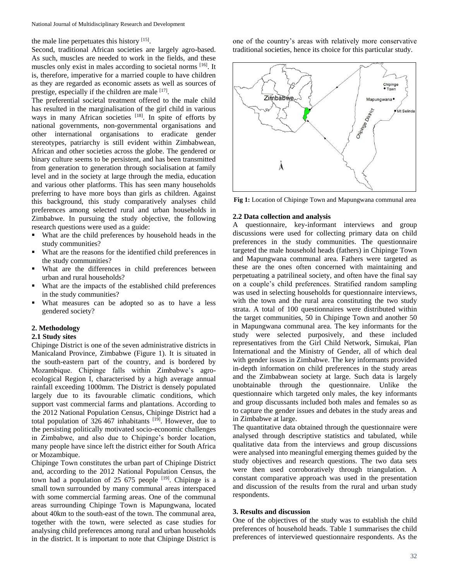the male line perpetuates this history [15].

Second, traditional African societies are largely agro-based. As such, muscles are needed to work in the fields, and these muscles only exist in males according to societal norms [16]. It is, therefore, imperative for a married couple to have children as they are regarded as economic assets as well as sources of prestige, especially if the children are male [17].

The preferential societal treatment offered to the male child has resulted in the marginalisation of the girl child in various ways in many African societies [18]. In spite of efforts by national governments, non-governmental organisations and other international organisations to eradicate gender stereotypes, patriarchy is still evident within Zimbabwean, African and other societies across the globe. The gendered or binary culture seems to be persistent, and has been transmitted from generation to generation through socialisation at family level and in the society at large through the media, education and various other platforms. This has seen many households preferring to have more boys than girls as children. Against this background, this study comparatively analyses child preferences among selected rural and urban households in Zimbabwe. In pursuing the study objective, the following research questions were used as a guide:

- What are the child preferences by household heads in the study communities?
- What are the reasons for the identified child preferences in the study communities?
- What are the differences in child preferences between urban and rural households?
- What are the impacts of the established child preferences in the study communities?
- What measures can be adopted so as to have a less gendered society?

### **2. Methodology**

#### **2.1 Study sites**

Chipinge District is one of the seven administrative districts in Manicaland Province, Zimbabwe (Figure 1). It is situated in the south-eastern part of the country, and is bordered by Mozambique. Chipinge falls within Zimbabwe's agroecological Region I, characterised by a high average annual rainfall exceeding 1000mm. The District is densely populated largely due to its favourable climatic conditions, which support vast commercial farms and plantations. According to the 2012 National Population Census, Chipinge District had a total population of  $326 467$  inhabitants  $[19]$ . However, due to the persisting politically motivated socio-economic challenges in Zimbabwe, and also due to Chipinge's border location, many people have since left the district either for South Africa or Mozambique.

Chipinge Town constitutes the urban part of Chipinge District and, according to the 2012 National Population Census, the town had a population of 25 675 people  $[19]$ . Chipinge is a small town surrounded by many communal areas interspaced with some commercial farming areas. One of the communal areas surrounding Chipinge Town is Mapungwana, located about 40km to the south-east of the town. The communal area, together with the town, were selected as case studies for analysing child preferences among rural and urban households in the district. It is important to note that Chipinge District is one of the country's areas with relatively more conservative traditional societies, hence its choice for this particular study.



**Fig 1:** Location of Chipinge Town and Mapungwana communal area

#### **2.2 Data collection and analysis**

A questionnaire, key-informant interviews and group discussions were used for collecting primary data on child preferences in the study communities. The questionnaire targeted the male household heads (fathers) in Chipinge Town and Mapungwana communal area. Fathers were targeted as these are the ones often concerned with maintaining and perpetuating a patrilineal society, and often have the final say on a couple's child preferences. Stratified random sampling was used in selecting households for questionnaire interviews, with the town and the rural area constituting the two study strata. A total of 100 questionnaires were distributed within the target communities, 50 in Chipinge Town and another 50 in Mapungwana communal area. The key informants for the study were selected purposively, and these included representatives from the Girl Child Network, Simukai, Plan International and the Ministry of Gender, all of which deal with gender issues in Zimbabwe. The key informants provided in-depth information on child preferences in the study areas and the Zimbabwean society at large. Such data is largely unobtainable through the questionnaire. Unlike the questionnaire which targeted only males, the key informants and group discussants included both males and females so as to capture the gender issues and debates in the study areas and in Zimbabwe at large.

The quantitative data obtained through the questionnaire were analysed through descriptive statistics and tabulated, while qualitative data from the interviews and group discussions were analysed into meaningful emerging themes guided by the study objectives and research questions. The two data sets were then used corroboratively through triangulation. A constant comparative approach was used in the presentation and discussion of the results from the rural and urban study respondents.

# **3. Results and discussion**

One of the objectives of the study was to establish the child preferences of household heads. Table 1 summarises the child preferences of interviewed questionnaire respondents. As the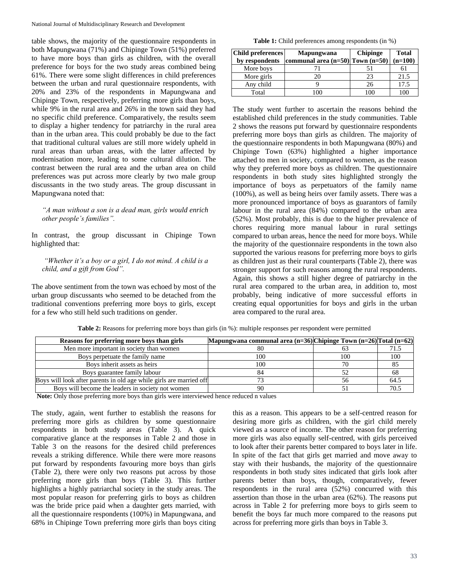table shows, the majority of the questionnaire respondents in both Mapungwana (71%) and Chipinge Town (51%) preferred to have more boys than girls as children, with the overall preference for boys for the two study areas combined being 61%. There were some slight differences in child preferences between the urban and rural questionnaire respondents, with 20% and 23% of the respondents in Mapungwana and Chipinge Town, respectively, preferring more girls than boys, while 9% in the rural area and 26% in the town said they had no specific child preference. Comparatively, the results seem to display a higher tendency for patriarchy in the rural area than in the urban area. This could probably be due to the fact that traditional cultural values are still more widely upheld in rural areas than urban areas, with the latter affected by modernisation more, leading to some cultural dilution. The contrast between the rural area and the urban area on child preferences was put across more clearly by two male group discussants in the two study areas. The group discussant in Mapungwana noted that:

*"A man without a son is a dead man, girls would enrich other people's families".*

In contrast, the group discussant in Chipinge Town highlighted that:

*"Whether it's a boy or a girl, I do not mind. A child is a child, and a gift from God".*

The above sentiment from the town was echoed by most of the urban group discussants who seemed to be detached from the traditional conventions preferring more boys to girls, except for a few who still held such traditions on gender.

Table 1: Child preferences among respondents (in %)

| <b>Child preferences</b> | <b>Mapungwana</b>                    | <b>Chipinge</b> | <b>Total</b> |
|--------------------------|--------------------------------------|-----------------|--------------|
| by respondents           | communal area $(n=50)$ Town $(n=50)$ |                 | $(n=100)$    |
| More boys                |                                      |                 |              |
| More girls               |                                      | 23              | 21.5         |
| Any child                |                                      | 26              | 17.5         |
| Total                    |                                      | 00              |              |

The study went further to ascertain the reasons behind the established child preferences in the study communities. Table 2 shows the reasons put forward by questionnaire respondents preferring more boys than girls as children. The majority of the questionnaire respondents in both Mapungwana (80%) and Chipinge Town (63%) highlighted a higher importance attached to men in society, compared to women, as the reason why they preferred more boys as children. The questionnaire respondents in both study sites highlighted strongly the importance of boys as perpetuators of the family name (100%), as well as being heirs over family assets. There was a more pronounced importance of boys as guarantors of family labour in the rural area (84%) compared to the urban area (52%). Most probably, this is due to the higher prevalence of chores requiring more manual labour in rural settings compared to urban areas, hence the need for more boys. While the majority of the questionnaire respondents in the town also supported the various reasons for preferring more boys to girls as children just as their rural counterparts (Table 2), there was stronger support for such reasons among the rural respondents. Again, this shows a still higher degree of patriarchy in the rural area compared to the urban area, in addition to, most probably, being indicative of more successful efforts in creating equal opportunities for boys and girls in the urban area compared to the rural area.

| Reasons for preferring more boys than girls                         | Mapungwana communal area (n=36) Chipinge Town (n=26) Total (n=62) |     |      |
|---------------------------------------------------------------------|-------------------------------------------------------------------|-----|------|
| Men more important in society than women                            | 80                                                                |     |      |
| Boys perpetuate the family name                                     | 100                                                               | 100 | 100  |
| Boys inherit assets as heirs                                        | 100                                                               |     |      |
| Boys guarantee family labour                                        | 84                                                                |     |      |
| Boys will look after parents in old age while girls are married off |                                                                   | 56  | 64.5 |
| Boys will become the leaders in society not women                   | 90                                                                |     |      |

**Table 2:** Reasons for preferring more boys than girls (in %): multiple responses per respondent were permitted

**Note:** Only those preferring more boys than girls were interviewed hence reduced n values

The study, again, went further to establish the reasons for preferring more girls as children by some questionnaire respondents in both study areas (Table 3). A quick comparative glance at the responses in Table 2 and those in Table 3 on the reasons for the desired child preferences reveals a striking difference. While there were more reasons put forward by respondents favouring more boys than girls (Table 2), there were only two reasons put across by those preferring more girls than boys (Table 3). This further highlights a highly patriarchal society in the study areas. The most popular reason for preferring girls to boys as children was the bride price paid when a daughter gets married, with all the questionnaire respondents (100%) in Mapungwana, and 68% in Chipinge Town preferring more girls than boys citing this as a reason. This appears to be a self-centred reason for desiring more girls as children, with the girl child merely viewed as a source of income. The other reason for preferring more girls was also equally self-centred, with girls perceived to look after their parents better compared to boys later in life. In spite of the fact that girls get married and move away to stay with their husbands, the majority of the questionnaire respondents in both study sites indicated that girls look after parents better than boys, though, comparatively, fewer respondents in the rural area (52%) concurred with this assertion than those in the urban area (62%). The reasons put across in Table 2 for preferring more boys to girls seem to benefit the boys far much more compared to the reasons put across for preferring more girls than boys in Table 3.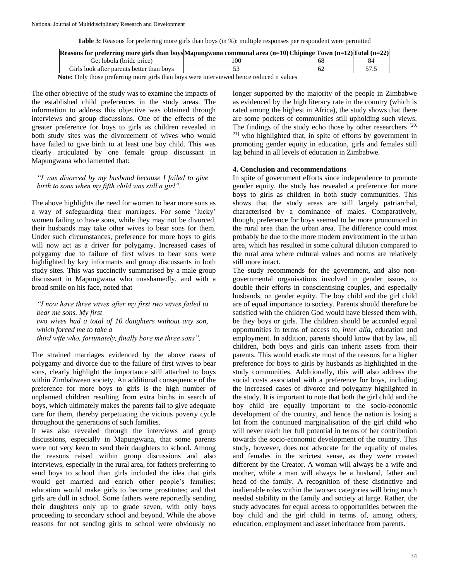**Table 3:** Reasons for preferring more girls than boys (in %): multiple responses per respondent were permitted

| Reasons for preferring more girls than boys Mapungwana communal area $(n=10)$ Chipinge Town $(n=12)$ Total $(n=22)$ |     |  |
|---------------------------------------------------------------------------------------------------------------------|-----|--|
| Get lobola (bride price)                                                                                            | 100 |  |
| Girls look after parents better than boys                                                                           |     |  |

**Note:** Only those preferring more girls than boys were interviewed hence reduced n values

The other objective of the study was to examine the impacts of the established child preferences in the study areas. The information to address this objective was obtained through interviews and group discussions. One of the effects of the greater preference for boys to girls as children revealed in both study sites was the divorcement of wives who would have failed to give birth to at least one boy child. This was clearly articulated by one female group discussant in Mapungwana who lamented that:

# *"I was divorced by my husband because I failed to give birth to sons when my fifth child was still a girl".*

The above highlights the need for women to bear more sons as a way of safeguarding their marriages. For some 'lucky' women failing to have sons, while they may not be divorced, their husbands may take other wives to bear sons for them. Under such circumstances, preference for more boys to girls will now act as a driver for polygamy. Increased cases of polygamy due to failure of first wives to bear sons were highlighted by key informants and group discussants in both study sites. This was succinctly summarised by a male group discussant in Mapungwana who unashamedly, and with a broad smile on his face, noted that

*"I now have three wives after my first two wives failed to bear me sons. My first two wives had a total of 10 daughters without any son, which forced me to take a* 

*third wife who, fortunately, finally bore me three sons".*

The strained marriages evidenced by the above cases of polygamy and divorce due to the failure of first wives to bear sons, clearly highlight the importance still attached to boys within Zimbabwean society. An additional consequence of the preference for more boys to girls is the high number of unplanned children resulting from extra births in search of boys, which ultimately makes the parents fail to give adequate care for them, thereby perpetuating the vicious poverty cycle throughout the generations of such families.

It was also revealed through the interviews and group discussions, especially in Mapungwana, that some parents were not very keen to send their daughters to school. Among the reasons raised within group discussions and also interviews, especially in the rural area, for fathers preferring to send boys to school than girls included the idea that girls would get married and enrich other people's families; education would make girls to become prostitutes; and that girls are dull in school. Some fathers were reportedly sending their daughters only up to grade seven, with only boys proceeding to secondary school and beyond. While the above reasons for not sending girls to school were obviously no longer supported by the majority of the people in Zimbabwe as evidenced by the high literacy rate in the country (which is rated among the highest in Africa), the study shows that there are some pockets of communities still upholding such views. The findings of the study echo those by other researchers [20, 21] who highlighted that, in spite of efforts by government in promoting gender equity in education, girls and females still lag behind in all levels of education in Zimbabwe.

# **4. Conclusion and recommendations**

In spite of government efforts since independence to promote gender equity, the study has revealed a preference for more boys to girls as children in both study communities. This shows that the study areas are still largely patriarchal, characterised by a dominance of males. Comparatively, though, preference for boys seemed to be more pronounced in the rural area than the urban area. The difference could most probably be due to the more modern environment in the urban area, which has resulted in some cultural dilution compared to the rural area where cultural values and norms are relatively still more intact.

The study recommends for the government, and also nongovernmental organisations involved in gender issues, to double their efforts in conscientising couples, and especially husbands, on gender equity. The boy child and the girl child are of equal importance to society. Parents should therefore be satisfied with the children God would have blessed them with, be they boys or girls. The children should be accorded equal opportunities in terms of access to, *inter alia*, education and employment. In addition, parents should know that by law, all children, both boys and girls can inherit assets from their parents. This would eradicate most of the reasons for a higher preference for boys to girls by husbands as highlighted in the study communities. Additionally, this will also address the social costs associated with a preference for boys, including the increased cases of divorce and polygamy highlighted in the study. It is important to note that both the girl child and the boy child are equally important to the socio-economic development of the country, and hence the nation is losing a lot from the continued marginalisation of the girl child who will never reach her full potential in terms of her contribution towards the socio-economic development of the country. This study, however, does not advocate for the equality of males and females in the strictest sense, as they were created different by the Creator. A woman will always be a wife and mother, while a man will always be a husband, father and head of the family. A recognition of these distinctive and inalienable roles within the two sex categories will bring much needed stability in the family and society at large. Rather, the study advocates for equal access to opportunities between the boy child and the girl child in terms of, among others, education, employment and asset inheritance from parents.